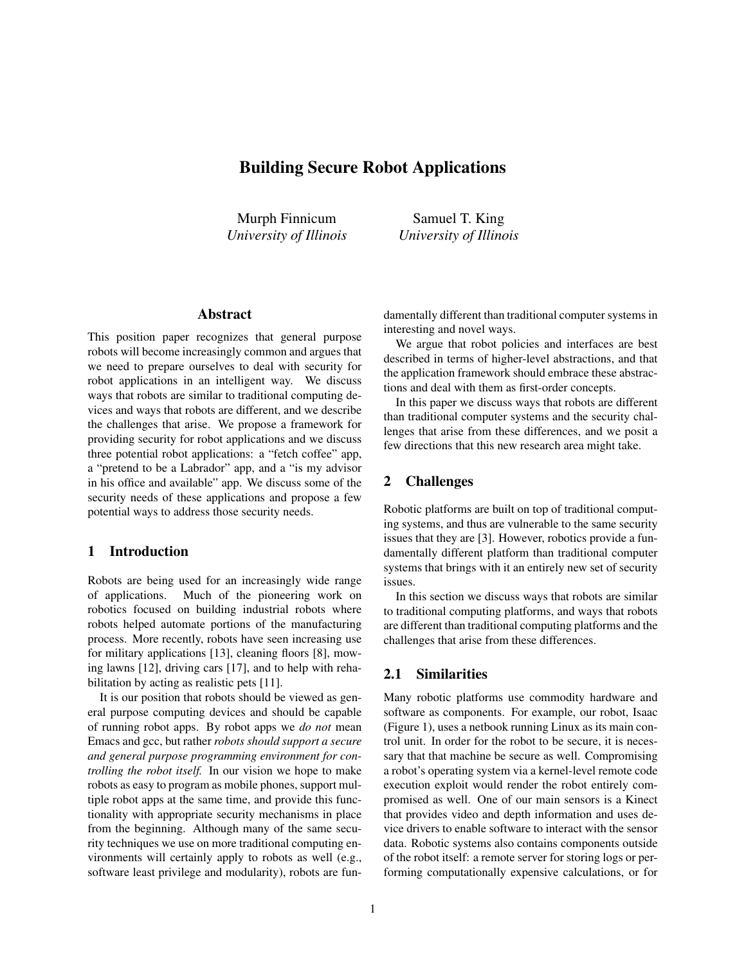# Building Secure Robot Applications

Murph Finnicum *University of Illinois*

Samuel T. King *University of Illinois*

## Abstract

This position paper recognizes that general purpose robots will become increasingly common and argues that we need to prepare ourselves to deal with security for robot applications in an intelligent way. We discuss ways that robots are similar to traditional computing devices and ways that robots are different, and we describe the challenges that arise. We propose a framework for providing security for robot applications and we discuss three potential robot applications: a "fetch coffee" app, a "pretend to be a Labrador" app, and a "is my advisor in his office and available" app. We discuss some of the security needs of these applications and propose a few potential ways to address those security needs.

### 1 Introduction

Robots are being used for an increasingly wide range of applications. Much of the pioneering work on robotics focused on building industrial robots where robots helped automate portions of the manufacturing process. More recently, robots have seen increasing use for military applications [13], cleaning floors [8], mowing lawns [12], driving cars [17], and to help with rehabilitation by acting as realistic pets [11].

It is our position that robots should be viewed as general purpose computing devices and should be capable of running robot apps. By robot apps we *do not* mean Emacs and gcc, but rather *robots should support a secure and general purpose programming environment for controlling the robot itself.* In our vision we hope to make robots as easy to program as mobile phones, support multiple robot apps at the same time, and provide this functionality with appropriate security mechanisms in place from the beginning. Although many of the same security techniques we use on more traditional computing environments will certainly apply to robots as well (e.g., software least privilege and modularity), robots are fundamentally different than traditional computer systems in interesting and novel ways.

We argue that robot policies and interfaces are best described in terms of higher-level abstractions, and that the application framework should embrace these abstractions and deal with them as first-order concepts.

In this paper we discuss ways that robots are different than traditional computer systems and the security challenges that arise from these differences, and we posit a few directions that this new research area might take.

# 2 Challenges

Robotic platforms are built on top of traditional computing systems, and thus are vulnerable to the same security issues that they are [3]. However, robotics provide a fundamentally different platform than traditional computer systems that brings with it an entirely new set of security issues.

In this section we discuss ways that robots are similar to traditional computing platforms, and ways that robots are different than traditional computing platforms and the challenges that arise from these differences.

## 2.1 Similarities

Many robotic platforms use commodity hardware and software as components. For example, our robot, Isaac (Figure 1), uses a netbook running Linux as its main control unit. In order for the robot to be secure, it is necessary that that machine be secure as well. Compromising a robot's operating system via a kernel-level remote code execution exploit would render the robot entirely compromised as well. One of our main sensors is a Kinect that provides video and depth information and uses device drivers to enable software to interact with the sensor data. Robotic systems also contains components outside of the robot itself: a remote server for storing logs or performing computationally expensive calculations, or for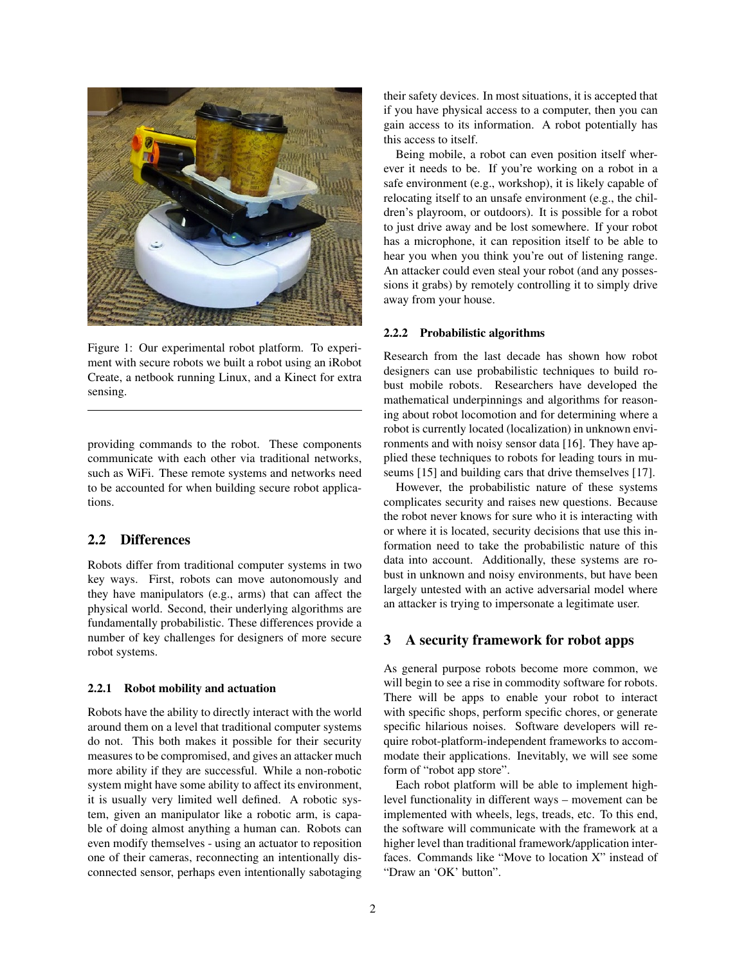

Figure 1: Our experimental robot platform. To experiment with secure robots we built a robot using an iRobot Create, a netbook running Linux, and a Kinect for extra sensing.

providing commands to the robot. These components communicate with each other via traditional networks, such as WiFi. These remote systems and networks need to be accounted for when building secure robot applications.

## 2.2 Differences

Robots differ from traditional computer systems in two key ways. First, robots can move autonomously and they have manipulators (e.g., arms) that can affect the physical world. Second, their underlying algorithms are fundamentally probabilistic. These differences provide a number of key challenges for designers of more secure robot systems.

#### 2.2.1 Robot mobility and actuation

Robots have the ability to directly interact with the world around them on a level that traditional computer systems do not. This both makes it possible for their security measures to be compromised, and gives an attacker much more ability if they are successful. While a non-robotic system might have some ability to affect its environment, it is usually very limited well defined. A robotic system, given an manipulator like a robotic arm, is capable of doing almost anything a human can. Robots can even modify themselves - using an actuator to reposition one of their cameras, reconnecting an intentionally disconnected sensor, perhaps even intentionally sabotaging their safety devices. In most situations, it is accepted that if you have physical access to a computer, then you can gain access to its information. A robot potentially has this access to itself.

Being mobile, a robot can even position itself wherever it needs to be. If you're working on a robot in a safe environment (e.g., workshop), it is likely capable of relocating itself to an unsafe environment (e.g., the children's playroom, or outdoors). It is possible for a robot to just drive away and be lost somewhere. If your robot has a microphone, it can reposition itself to be able to hear you when you think you're out of listening range. An attacker could even steal your robot (and any possessions it grabs) by remotely controlling it to simply drive away from your house.

#### 2.2.2 Probabilistic algorithms

Research from the last decade has shown how robot designers can use probabilistic techniques to build robust mobile robots. Researchers have developed the mathematical underpinnings and algorithms for reasoning about robot locomotion and for determining where a robot is currently located (localization) in unknown environments and with noisy sensor data [16]. They have applied these techniques to robots for leading tours in museums [15] and building cars that drive themselves [17].

However, the probabilistic nature of these systems complicates security and raises new questions. Because the robot never knows for sure who it is interacting with or where it is located, security decisions that use this information need to take the probabilistic nature of this data into account. Additionally, these systems are robust in unknown and noisy environments, but have been largely untested with an active adversarial model where an attacker is trying to impersonate a legitimate user.

#### 3 A security framework for robot apps

As general purpose robots become more common, we will begin to see a rise in commodity software for robots. There will be apps to enable your robot to interact with specific shops, perform specific chores, or generate specific hilarious noises. Software developers will require robot-platform-independent frameworks to accommodate their applications. Inevitably, we will see some form of "robot app store".

Each robot platform will be able to implement highlevel functionality in different ways – movement can be implemented with wheels, legs, treads, etc. To this end, the software will communicate with the framework at a higher level than traditional framework/application interfaces. Commands like "Move to location X" instead of "Draw an 'OK' button".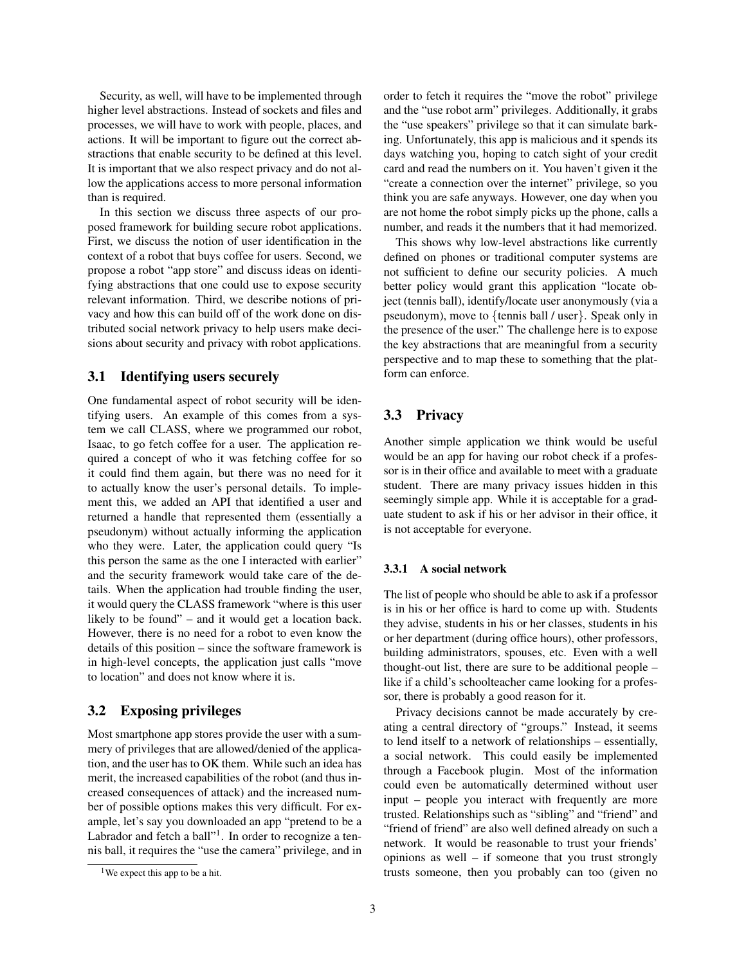Security, as well, will have to be implemented through higher level abstractions. Instead of sockets and files and processes, we will have to work with people, places, and actions. It will be important to figure out the correct abstractions that enable security to be defined at this level. It is important that we also respect privacy and do not allow the applications access to more personal information than is required.

In this section we discuss three aspects of our proposed framework for building secure robot applications. First, we discuss the notion of user identification in the context of a robot that buys coffee for users. Second, we propose a robot "app store" and discuss ideas on identifying abstractions that one could use to expose security relevant information. Third, we describe notions of privacy and how this can build off of the work done on distributed social network privacy to help users make decisions about security and privacy with robot applications.

#### 3.1 Identifying users securely

One fundamental aspect of robot security will be identifying users. An example of this comes from a system we call CLASS, where we programmed our robot, Isaac, to go fetch coffee for a user. The application required a concept of who it was fetching coffee for so it could find them again, but there was no need for it to actually know the user's personal details. To implement this, we added an API that identified a user and returned a handle that represented them (essentially a pseudonym) without actually informing the application who they were. Later, the application could query "Is this person the same as the one I interacted with earlier" and the security framework would take care of the details. When the application had trouble finding the user, it would query the CLASS framework "where is this user likely to be found" – and it would get a location back. However, there is no need for a robot to even know the details of this position – since the software framework is in high-level concepts, the application just calls "move to location" and does not know where it is.

## 3.2 Exposing privileges

Most smartphone app stores provide the user with a summery of privileges that are allowed/denied of the application, and the user has to OK them. While such an idea has merit, the increased capabilities of the robot (and thus increased consequences of attack) and the increased number of possible options makes this very difficult. For example, let's say you downloaded an app "pretend to be a Labrador and fetch a ball"<sup>1</sup>. In order to recognize a tennis ball, it requires the "use the camera" privilege, and in order to fetch it requires the "move the robot" privilege and the "use robot arm" privileges. Additionally, it grabs the "use speakers" privilege so that it can simulate barking. Unfortunately, this app is malicious and it spends its days watching you, hoping to catch sight of your credit card and read the numbers on it. You haven't given it the "create a connection over the internet" privilege, so you think you are safe anyways. However, one day when you are not home the robot simply picks up the phone, calls a number, and reads it the numbers that it had memorized.

This shows why low-level abstractions like currently defined on phones or traditional computer systems are not sufficient to define our security policies. A much better policy would grant this application "locate object (tennis ball), identify/locate user anonymously (via a pseudonym), move to {tennis ball / user}. Speak only in the presence of the user." The challenge here is to expose the key abstractions that are meaningful from a security perspective and to map these to something that the platform can enforce.

# 3.3 Privacy

Another simple application we think would be useful would be an app for having our robot check if a professor is in their office and available to meet with a graduate student. There are many privacy issues hidden in this seemingly simple app. While it is acceptable for a graduate student to ask if his or her advisor in their office, it is not acceptable for everyone.

#### 3.3.1 A social network

The list of people who should be able to ask if a professor is in his or her office is hard to come up with. Students they advise, students in his or her classes, students in his or her department (during office hours), other professors, building administrators, spouses, etc. Even with a well thought-out list, there are sure to be additional people – like if a child's schoolteacher came looking for a professor, there is probably a good reason for it.

Privacy decisions cannot be made accurately by creating a central directory of "groups." Instead, it seems to lend itself to a network of relationships – essentially, a social network. This could easily be implemented through a Facebook plugin. Most of the information could even be automatically determined without user input – people you interact with frequently are more trusted. Relationships such as "sibling" and "friend" and "friend of friend" are also well defined already on such a network. It would be reasonable to trust your friends' opinions as well – if someone that you trust strongly trusts someone, then you probably can too (given no

<sup>&</sup>lt;sup>1</sup>We expect this app to be a hit.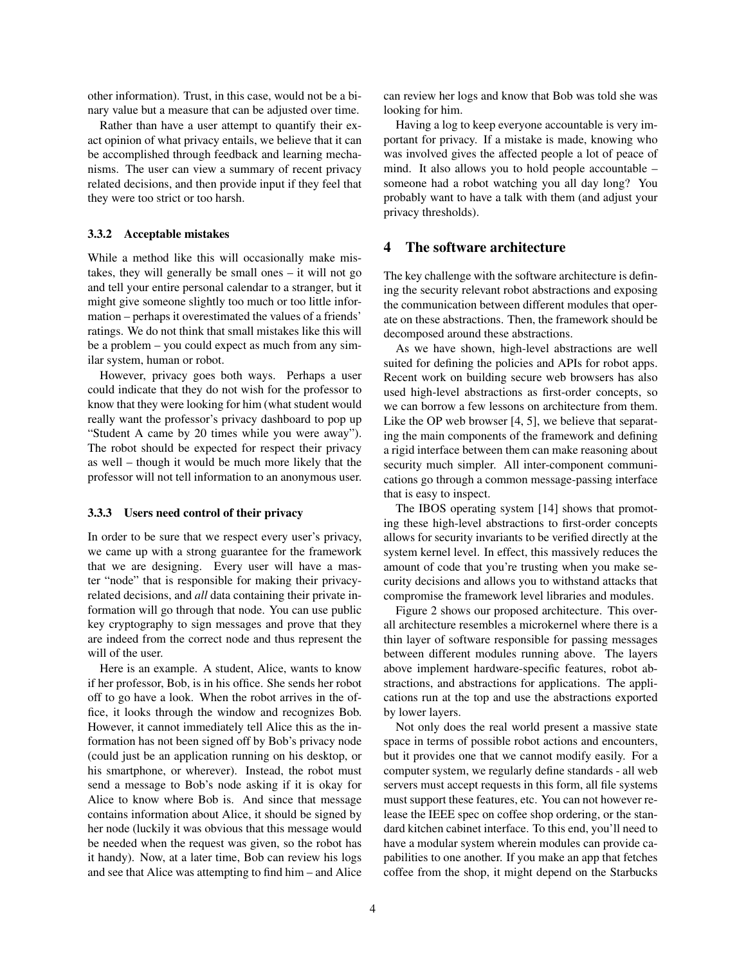other information). Trust, in this case, would not be a binary value but a measure that can be adjusted over time.

Rather than have a user attempt to quantify their exact opinion of what privacy entails, we believe that it can be accomplished through feedback and learning mechanisms. The user can view a summary of recent privacy related decisions, and then provide input if they feel that they were too strict or too harsh.

#### 3.3.2 Acceptable mistakes

While a method like this will occasionally make mistakes, they will generally be small ones – it will not go and tell your entire personal calendar to a stranger, but it might give someone slightly too much or too little information – perhaps it overestimated the values of a friends' ratings. We do not think that small mistakes like this will be a problem – you could expect as much from any similar system, human or robot.

However, privacy goes both ways. Perhaps a user could indicate that they do not wish for the professor to know that they were looking for him (what student would really want the professor's privacy dashboard to pop up "Student A came by 20 times while you were away"). The robot should be expected for respect their privacy as well – though it would be much more likely that the professor will not tell information to an anonymous user.

#### 3.3.3 Users need control of their privacy

In order to be sure that we respect every user's privacy, we came up with a strong guarantee for the framework that we are designing. Every user will have a master "node" that is responsible for making their privacyrelated decisions, and *all* data containing their private information will go through that node. You can use public key cryptography to sign messages and prove that they are indeed from the correct node and thus represent the will of the user.

Here is an example. A student, Alice, wants to know if her professor, Bob, is in his office. She sends her robot off to go have a look. When the robot arrives in the office, it looks through the window and recognizes Bob. However, it cannot immediately tell Alice this as the information has not been signed off by Bob's privacy node (could just be an application running on his desktop, or his smartphone, or wherever). Instead, the robot must send a message to Bob's node asking if it is okay for Alice to know where Bob is. And since that message contains information about Alice, it should be signed by her node (luckily it was obvious that this message would be needed when the request was given, so the robot has it handy). Now, at a later time, Bob can review his logs and see that Alice was attempting to find him – and Alice can review her logs and know that Bob was told she was looking for him.

Having a log to keep everyone accountable is very important for privacy. If a mistake is made, knowing who was involved gives the affected people a lot of peace of mind. It also allows you to hold people accountable – someone had a robot watching you all day long? You probably want to have a talk with them (and adjust your privacy thresholds).

## 4 The software architecture

The key challenge with the software architecture is defining the security relevant robot abstractions and exposing the communication between different modules that operate on these abstractions. Then, the framework should be decomposed around these abstractions.

As we have shown, high-level abstractions are well suited for defining the policies and APIs for robot apps. Recent work on building secure web browsers has also used high-level abstractions as first-order concepts, so we can borrow a few lessons on architecture from them. Like the OP web browser [4, 5], we believe that separating the main components of the framework and defining a rigid interface between them can make reasoning about security much simpler. All inter-component communications go through a common message-passing interface that is easy to inspect.

The IBOS operating system [14] shows that promoting these high-level abstractions to first-order concepts allows for security invariants to be verified directly at the system kernel level. In effect, this massively reduces the amount of code that you're trusting when you make security decisions and allows you to withstand attacks that compromise the framework level libraries and modules.

Figure 2 shows our proposed architecture. This overall architecture resembles a microkernel where there is a thin layer of software responsible for passing messages between different modules running above. The layers above implement hardware-specific features, robot abstractions, and abstractions for applications. The applications run at the top and use the abstractions exported by lower layers.

Not only does the real world present a massive state space in terms of possible robot actions and encounters, but it provides one that we cannot modify easily. For a computer system, we regularly define standards - all web servers must accept requests in this form, all file systems must support these features, etc. You can not however release the IEEE spec on coffee shop ordering, or the standard kitchen cabinet interface. To this end, you'll need to have a modular system wherein modules can provide capabilities to one another. If you make an app that fetches coffee from the shop, it might depend on the Starbucks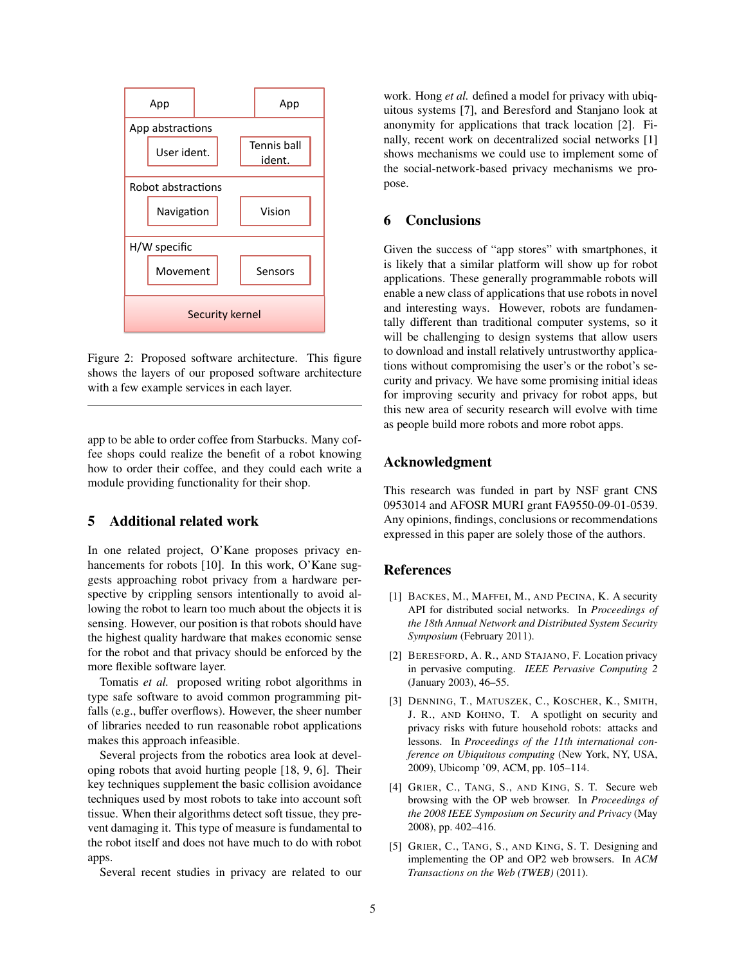

Figure 2: Proposed software architecture. This figure shows the layers of our proposed software architecture with a few example services in each layer.

app to be able to order coffee from Starbucks. Many coffee shops could realize the benefit of a robot knowing how to order their coffee, and they could each write a module providing functionality for their shop.

# 5 Additional related work

In one related project, O'Kane proposes privacy enhancements for robots [10]. In this work, O'Kane suggests approaching robot privacy from a hardware perspective by crippling sensors intentionally to avoid allowing the robot to learn too much about the objects it is sensing. However, our position is that robots should have the highest quality hardware that makes economic sense for the robot and that privacy should be enforced by the more flexible software layer.

Tomatis *et al.* proposed writing robot algorithms in type safe software to avoid common programming pitfalls (e.g., buffer overflows). However, the sheer number of libraries needed to run reasonable robot applications makes this approach infeasible.

Several projects from the robotics area look at developing robots that avoid hurting people [18, 9, 6]. Their key techniques supplement the basic collision avoidance techniques used by most robots to take into account soft tissue. When their algorithms detect soft tissue, they prevent damaging it. This type of measure is fundamental to the robot itself and does not have much to do with robot apps.

Several recent studies in privacy are related to our

work. Hong *et al.* defined a model for privacy with ubiquitous systems [7], and Beresford and Stanjano look at anonymity for applications that track location [2]. Finally, recent work on decentralized social networks [1] shows mechanisms we could use to implement some of the social-network-based privacy mechanisms we propose.

# 6 Conclusions

Given the success of "app stores" with smartphones, it is likely that a similar platform will show up for robot applications. These generally programmable robots will enable a new class of applications that use robots in novel and interesting ways. However, robots are fundamentally different than traditional computer systems, so it will be challenging to design systems that allow users to download and install relatively untrustworthy applications without compromising the user's or the robot's security and privacy. We have some promising initial ideas for improving security and privacy for robot apps, but this new area of security research will evolve with time as people build more robots and more robot apps.

### Acknowledgment

This research was funded in part by NSF grant CNS 0953014 and AFOSR MURI grant FA9550-09-01-0539. Any opinions, findings, conclusions or recommendations expressed in this paper are solely those of the authors.

### References

- [1] BACKES, M., MAFFEI, M., AND PECINA, K. A security API for distributed social networks. In *Proceedings of the 18th Annual Network and Distributed System Security Symposium* (February 2011).
- [2] BERESFORD, A. R., AND STAJANO, F. Location privacy in pervasive computing. *IEEE Pervasive Computing 2* (January 2003), 46–55.
- [3] DENNING, T., MATUSZEK, C., KOSCHER, K., SMITH, J. R., AND KOHNO, T. A spotlight on security and privacy risks with future household robots: attacks and lessons. In *Proceedings of the 11th international conference on Ubiquitous computing* (New York, NY, USA, 2009), Ubicomp '09, ACM, pp. 105–114.
- [4] GRIER, C., TANG, S., AND KING, S. T. Secure web browsing with the OP web browser. In *Proceedings of the 2008 IEEE Symposium on Security and Privacy* (May 2008), pp. 402–416.
- [5] GRIER, C., TANG, S., AND KING, S. T. Designing and implementing the OP and OP2 web browsers. In *ACM Transactions on the Web (TWEB)* (2011).